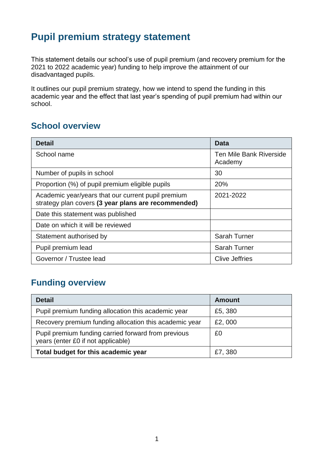## **Pupil premium strategy statement**

This statement details our school's use of pupil premium (and recovery premium for the 2021 to 2022 academic year) funding to help improve the attainment of our disadvantaged pupils.

It outlines our pupil premium strategy, how we intend to spend the funding in this academic year and the effect that last year's spending of pupil premium had within our school.

### **School overview**

| <b>Detail</b>                                                                                             | Data                               |
|-----------------------------------------------------------------------------------------------------------|------------------------------------|
| School name                                                                                               | Ten Mile Bank Riverside<br>Academy |
| Number of pupils in school                                                                                | 30                                 |
| Proportion (%) of pupil premium eligible pupils                                                           | 20%                                |
| Academic year/years that our current pupil premium<br>strategy plan covers (3 year plans are recommended) | 2021-2022                          |
| Date this statement was published                                                                         |                                    |
| Date on which it will be reviewed                                                                         |                                    |
| Statement authorised by                                                                                   | <b>Sarah Turner</b>                |
| Pupil premium lead                                                                                        | <b>Sarah Turner</b>                |
| Governor / Trustee lead                                                                                   | <b>Clive Jeffries</b>              |

## **Funding overview**

| <b>Detail</b>                                                                             | <b>Amount</b> |
|-------------------------------------------------------------------------------------------|---------------|
| Pupil premium funding allocation this academic year                                       | £5,380        |
| Recovery premium funding allocation this academic year                                    | £2,000        |
| Pupil premium funding carried forward from previous<br>years (enter £0 if not applicable) | £0            |
| Total budget for this academic year                                                       | £7,380        |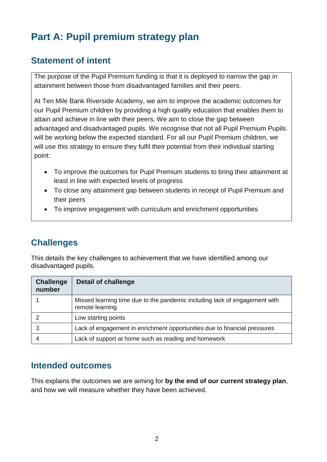# **Part A: Pupil premium strategy plan**

### **Statement of intent**

The purpose of the Pupil Premium funding is that it is deployed to narrow the gap in attainment between those from disadvantaged families and their peers.

At Ten Mile Bank Riverside Academy, we aim to improve the academic outcomes for our Pupil Premium children by providing a high quality education that enables them to attain and achieve in line with their peers. We aim to close the gap between advantaged and disadvantaged pupils. We recognise that not all Pupil Premium Pupils will be working below the expected standard. For all our Pupil Premium children, we will use this strategy to ensure they fulfil their potential from their individual starting point:

- To improve the outcomes for Pupil Premium students to bring their attainment at least in line with expected levels of progress
- To close any attainment gap between students in receipt of Pupil Premium and their peers
- To improve engagement with curriculum and enrichment opportunities

## **Challenges**

This details the key challenges to achievement that we have identified among our disadvantaged pupils.

| <b>Challenge</b><br>number | <b>Detail of challenge</b>                                                                    |
|----------------------------|-----------------------------------------------------------------------------------------------|
|                            | Missed learning time due to the pandemic including lack of engagement with<br>remote learning |
|                            | Low starting points                                                                           |
|                            | Lack of engagement in enrichment opportunities due to financial pressures                     |
|                            | Lack of support at home such as reading and homework                                          |

#### **Intended outcomes**

This explains the outcomes we are aiming for **by the end of our current strategy plan**, and how we will measure whether they have been achieved.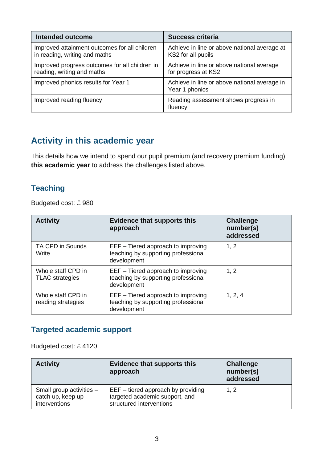| <b>Intended outcome</b>                                                        | <b>Success criteria</b>                                            |
|--------------------------------------------------------------------------------|--------------------------------------------------------------------|
| Improved attainment outcomes for all children<br>in reading, writing and maths | Achieve in line or above national average at<br>KS2 for all pupils |
| Improved progress outcomes for all children in<br>reading, writing and maths   | Achieve in line or above national average<br>for progress at KS2   |
| Improved phonics results for Year 1                                            | Achieve in line or above national average in<br>Year 1 phonics     |
| Improved reading fluency                                                       | Reading assessment shows progress in<br>fluency                    |

## **Activity in this academic year**

This details how we intend to spend our pupil premium (and recovery premium funding) **this academic year** to address the challenges listed above.

#### **Teaching**

Budgeted cost: £ 980

| <b>Activity</b>                              | <b>Evidence that supports this</b><br>approach                                           | <b>Challenge</b><br>number(s)<br>addressed |
|----------------------------------------------|------------------------------------------------------------------------------------------|--------------------------------------------|
| TA CPD in Sounds<br>Write                    | EEF - Tiered approach to improving<br>teaching by supporting professional<br>development | 1, 2                                       |
| Whole staff CPD in<br><b>TLAC</b> strategies | EEF – Tiered approach to improving<br>teaching by supporting professional<br>development | 1, 2                                       |
| Whole staff CPD in<br>reading strategies     | EEF - Tiered approach to improving<br>teaching by supporting professional<br>development | 1, 2, 4                                    |

### **Targeted academic support**

Budgeted cost: £ 4120

| <b>Activity</b>                                                | <b>Evidence that supports this</b><br>approach                                                     | <b>Challenge</b><br>number(s)<br>addressed |
|----------------------------------------------------------------|----------------------------------------------------------------------------------------------------|--------------------------------------------|
| Small group activities -<br>catch up, keep up<br>interventions | $EEF - tiered$ approach by providing<br>targeted academic support, and<br>structured interventions | 1, 2                                       |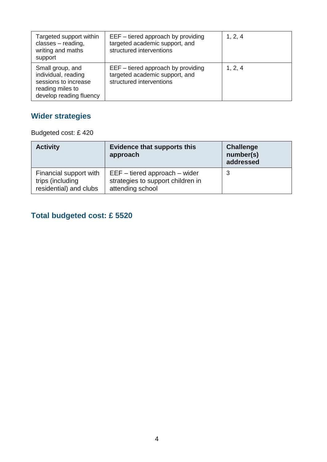| Targeted support within<br>classes - reading,<br>writing and maths<br>support                                  | $EEF - tiered$ approach by providing<br>targeted academic support, and<br>structured interventions | 1, 2, 4 |
|----------------------------------------------------------------------------------------------------------------|----------------------------------------------------------------------------------------------------|---------|
| Small group, and<br>individual, reading<br>sessions to increase<br>reading miles to<br>develop reading fluency | $EEF - tiered$ approach by providing<br>targeted academic support, and<br>structured interventions | 1, 2, 4 |

## **Wider strategies**

Budgeted cost: £ 420

| <b>Activity</b>                                                      | <b>Evidence that supports this</b><br>approach                                             | <b>Challenge</b><br>number(s)<br>addressed |
|----------------------------------------------------------------------|--------------------------------------------------------------------------------------------|--------------------------------------------|
| Financial support with<br>trips (including<br>residential) and clubs | $EEF - tiered$ approach $-$ wider<br>strategies to support children in<br>attending school | 3                                          |

## **Total budgeted cost: £ 5520**